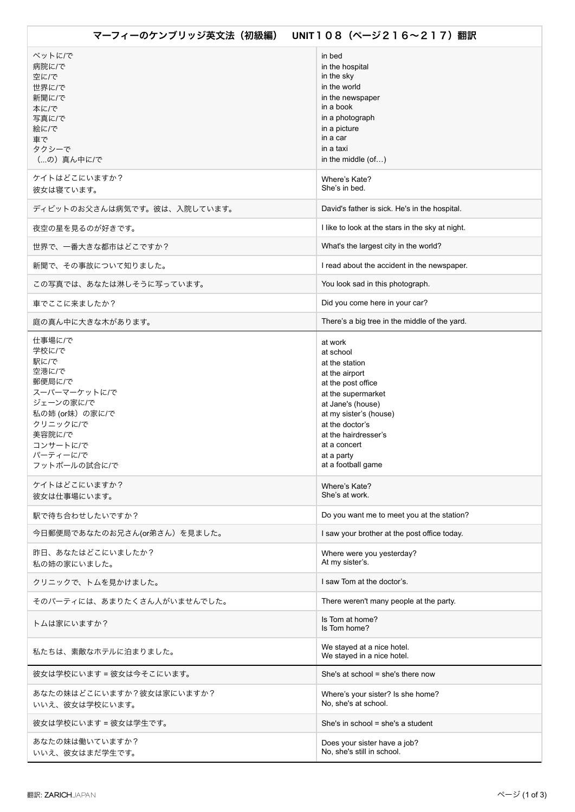| 空に/で<br>世界に/で<br>新聞に/で<br>本に/で<br>写真に/で<br>絵に/で<br>車で<br>タクシーで<br>(…の) 真ん中に/で                                                                        | in the sky<br>in the world<br>in the newspaper<br>in a book<br>in a photograph<br>in a picture<br>in a car<br>in a taxi<br>in the middle $(of)$                                                                                                    |
|------------------------------------------------------------------------------------------------------------------------------------------------------|----------------------------------------------------------------------------------------------------------------------------------------------------------------------------------------------------------------------------------------------------|
| ケイトはどこにいますか?<br>彼女は寝ています。                                                                                                                            | Where's Kate?<br>She's in bed.                                                                                                                                                                                                                     |
| ディビットのお父さんは病気です。彼は、入院しています。                                                                                                                          | David's father is sick. He's in the hospital.                                                                                                                                                                                                      |
| 夜空の星を見るのが好きです。                                                                                                                                       | I like to look at the stars in the sky at night.                                                                                                                                                                                                   |
| 世界で、一番大きな都市はどこですか?                                                                                                                                   | What's the largest city in the world?                                                                                                                                                                                                              |
| 新聞で、その事故について知りました。                                                                                                                                   | I read about the accident in the newspaper.                                                                                                                                                                                                        |
| この写真では、あなたは淋しそうに写っています。                                                                                                                              | You look sad in this photograph.                                                                                                                                                                                                                   |
| 車でここに来ましたか?                                                                                                                                          | Did you come here in your car?                                                                                                                                                                                                                     |
| 庭の真ん中に大きな木があります。                                                                                                                                     | There's a big tree in the middle of the yard.                                                                                                                                                                                                      |
| 仕事場に/で<br>学校に/で<br>駅に/で<br>空港に/で<br>郵便局に/で<br>スーパーマーケットに/で<br>ジェーンの家に/で<br>私の姉 (or妹)の家に/で<br>クリニックにで<br>美容院に/で<br>コンサートにて<br>パーティーにで<br>フットボールの試合に/で | at work<br>at school<br>at the station<br>at the airport<br>at the post office<br>at the supermarket<br>at Jane's (house)<br>at my sister's (house)<br>at the doctor's<br>at the hairdresser's<br>at a concert<br>at a party<br>at a football game |
| ケイトはどこにいますか?<br>彼女は仕事場にいます。                                                                                                                          | Where's Kate?<br>She's at work.                                                                                                                                                                                                                    |
| 駅で待ち合わせしたいですか?                                                                                                                                       | Do you want me to meet you at the station?                                                                                                                                                                                                         |
| 今日郵便局であなたのお兄さん(or弟さん)を見ました。                                                                                                                          | I saw your brother at the post office today.                                                                                                                                                                                                       |
| 昨日、あなたはどこにいましたか?<br>私の姉の家にいました。                                                                                                                      | Where were you yesterday?<br>At my sister's.                                                                                                                                                                                                       |
| クリニックで、トムを見かけました。                                                                                                                                    | I saw Tom at the doctor's.                                                                                                                                                                                                                         |
| そのパーティには、あまりたくさん人がいませんでした。                                                                                                                           | There weren't many people at the party.                                                                                                                                                                                                            |
| トムは家にいますか?                                                                                                                                           | Is Tom at home?<br>Is Tom home?                                                                                                                                                                                                                    |
| 私たちは、素敵なホテルに泊まりました。                                                                                                                                  | We stayed at a nice hotel.<br>We stayed in a nice hotel.                                                                                                                                                                                           |
| 彼女は学校にいます = 彼女は今そこにいます。                                                                                                                              | She's at school = she's there now                                                                                                                                                                                                                  |
| あなたの妹はどこにいますか?彼女は家にいますか?<br>いいえ、彼女は学校にいます。                                                                                                           | Where's your sister? Is she home?<br>No, she's at school.                                                                                                                                                                                          |
| 彼女は学校にいます = 彼女は学生です。                                                                                                                                 | She's in school = she's a student                                                                                                                                                                                                                  |
| あなたの妹は働いていますか?<br>いいえ、彼女はまだ学生です。                                                                                                                     | Does your sister have a job?<br>No, she's still in school.                                                                                                                                                                                         |
|                                                                                                                                                      |                                                                                                                                                                                                                                                    |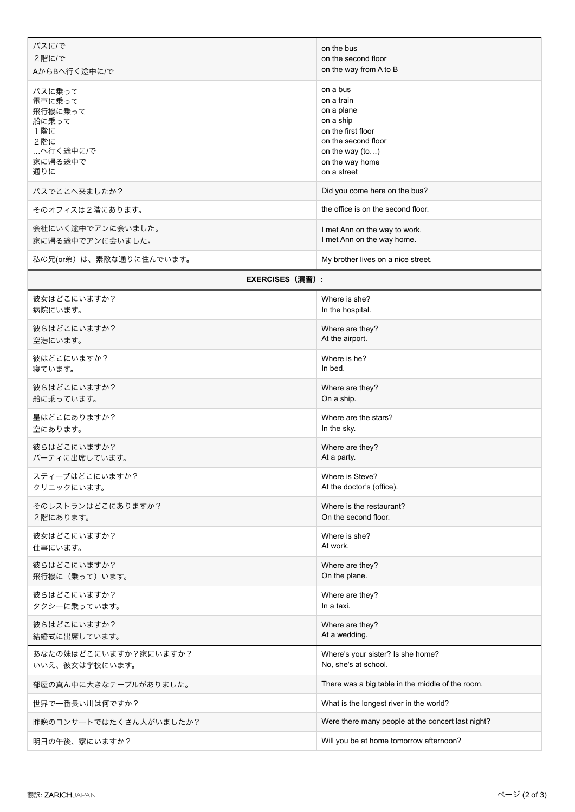| バスに/で                   | on the bus                                        |  |
|-------------------------|---------------------------------------------------|--|
| 2階に/で                   | on the second floor                               |  |
| AからBへ行く途中に/で            | on the way from A to B                            |  |
| バスに乗って                  | on a bus                                          |  |
| 電車に乗って                  | on a train                                        |  |
| 飛行機に乗って                 | on a plane                                        |  |
| 船に乗って                   | on a ship                                         |  |
| 1階に                     | on the first floor                                |  |
| 2階に                     | on the second floor                               |  |
| …へ行く途中に/で               | on the way $(to)$                                 |  |
| 家に帰る途中で                 | on the way home                                   |  |
| 通りに                     | on a street                                       |  |
| バスでここへ来ましたか?            | Did you come here on the bus?                     |  |
| そのオフィスは2階にあります。         | the office is on the second floor.                |  |
| 会社にいく途中でアンに会いました。       | I met Ann on the way to work.                     |  |
| 家に帰る途中でアンに会いました。        | I met Ann on the way home.                        |  |
| 私の兄(or弟)は、素敵な通りに住んでいます。 | My brother lives on a nice street.                |  |
| <b>EXERCISES (演習):</b>  |                                                   |  |
| 彼女はどこにいますか?             | Where is she?                                     |  |
| 病院にいます。                 | In the hospital.                                  |  |
| 彼らはどこにいますか?             | Where are they?                                   |  |
| 空港にいます。                 | At the airport.                                   |  |
| 彼はどこにいますか?              | Where is he?                                      |  |
| 寝ています。                  | In bed.                                           |  |
| 彼らはどこにいますか?             | Where are they?                                   |  |
| 船に乗っています。               | On a ship.                                        |  |
| 星はどこにありますか?             | Where are the stars?                              |  |
| 空にあります。                 | In the sky.                                       |  |
| 彼らはどこにいますか?             | Where are they?                                   |  |
| パーティに出席しています。           | At a party.                                       |  |
| スティーブはどこにいますか?          | Where is Steve?                                   |  |
| クリニックにいます。              | At the doctor's (office).                         |  |
| そのレストランはどこにありますか?       | Where is the restaurant?                          |  |
| 2階にあります。                | On the second floor.                              |  |
| 彼女はどこにいますか?             | Where is she?                                     |  |
| 仕事にいます。                 | At work.                                          |  |
| 彼らはどこにいますか?             | Where are they?                                   |  |
| 飛行機に (乗って)います。          | On the plane.                                     |  |
| 彼らはどこにいますか?             | Where are they?                                   |  |
| タクシーに乗っています。            | In a taxi.                                        |  |
| 彼らはどこにいますか?             | Where are they?                                   |  |
| 結婚式に出席しています。            | At a wedding.                                     |  |
| あなたの妹はどこにいますか?家にいますか?   | Where's your sister? Is she home?                 |  |
| いいえ、彼女は学校にいます。          | No, she's at school.                              |  |
| 部屋の真ん中に大きなテーブルがありました。   | There was a big table in the middle of the room.  |  |
| 世界で一番長い川は何ですか?          | What is the longest river in the world?           |  |
| 昨晩のコンサートではたくさん人がいましたか?  | Were there many people at the concert last night? |  |
| 明日の午後、家にいますか?           | Will you be at home tomorrow afternoon?           |  |